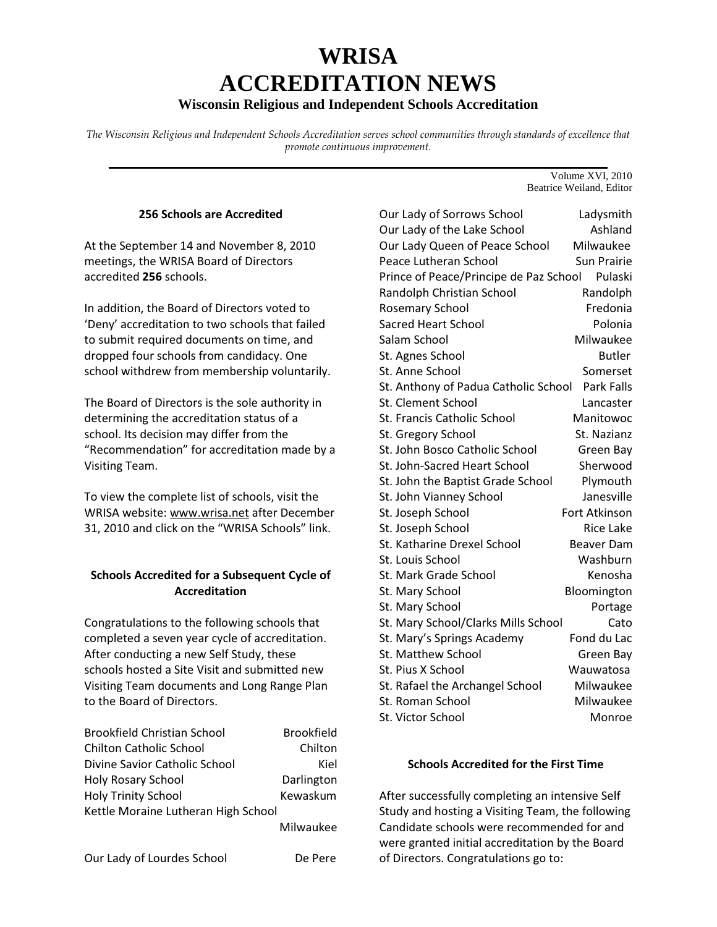# **WRISA ACCREDITATION NEWS**

## **Wisconsin Religious and Independent Schools Accreditation**

*The Wisconsin Religious and Independent Schools Accreditation serves school communities through standards of excellence that promote continuous improvement.*  **\_\_\_\_\_\_\_\_\_\_\_\_\_\_\_\_\_\_\_\_\_\_\_\_\_\_\_\_\_\_\_\_\_\_\_\_\_\_\_\_\_\_\_\_\_\_\_\_\_\_\_\_\_\_\_\_\_\_\_\_\_\_\_\_\_\_\_\_\_\_\_** 

#### 256 Schools are Accredited

At the September 14 and November 8, 2010 meetings, the WRISA Board of Directors accredited 256 schools.

In addition, the Board of Directors voted to 'Deny' accreditation to two schools that failed to submit required documents on time, and dropped four schools from candidacy. One school withdrew from membership voluntarily.

The Board of Directors is the sole authority in determining the accreditation status of a school. Its decision may differ from the "Recommendation" for accreditation made by a Visiting Team.

To view the complete list of schools, visit the WRISA website: www.wrisa.net after December 31, 2010 and click on the "WRISA Schools" link.

## Schools Accredited for a Subsequent Cycle of Accreditation

Congratulations to the following schools that completed a seven year cycle of accreditation. After conducting a new Self Study, these schools hosted a Site Visit and submitted new Visiting Team documents and Long Range Plan to the Board of Directors.

| <b>Brookfield Christian School</b>  | <b>Brookfield</b> |
|-------------------------------------|-------------------|
| <b>Chilton Catholic School</b>      | Chilton           |
| Divine Savior Catholic School       | Kiel              |
| <b>Holy Rosary School</b>           | Darlington        |
| <b>Holy Trinity School</b>          | Kewaskum          |
| Kettle Moraine Lutheran High School |                   |
|                                     | Milwaukee         |

Our Lady of Lourdes School De Pere

Volume XVI, 2010 Beatrice Weiland, Editor

| Our Lady of Sorrows School             | Ladysmith            |
|----------------------------------------|----------------------|
| Our Lady of the Lake School            | Ashland              |
| Our Lady Queen of Peace School         | Milwaukee            |
| Peace Lutheran School                  | <b>Sun Prairie</b>   |
| Prince of Peace/Principe de Paz School | Pulaski              |
| Randolph Christian School              | Randolph             |
| <b>Rosemary School</b>                 | Fredonia             |
| <b>Sacred Heart School</b>             | Polonia              |
| Salam School                           | Milwaukee            |
| St. Agnes School                       | <b>Butler</b>        |
| St. Anne School                        | Somerset             |
| St. Anthony of Padua Catholic School   | <b>Park Falls</b>    |
| <b>St. Clement School</b>              | Lancaster            |
| <b>St. Francis Catholic School</b>     | Manitowoc            |
| St. Gregory School                     | St. Nazianz          |
| St. John Bosco Catholic School         | Green Bay            |
| St. John-Sacred Heart School           | Sherwood             |
| St. John the Baptist Grade School      | Plymouth             |
| St. John Vianney School                | Janesville           |
| St. Joseph School                      | <b>Fort Atkinson</b> |
| St. Joseph School                      | <b>Rice Lake</b>     |
| <b>St. Katharine Drexel School</b>     | Beaver Dam           |
| St. Louis School                       | Washburn             |
| <b>St. Mark Grade School</b>           | Kenosha              |
| St. Mary School                        | Bloomington          |
| St. Mary School                        | Portage              |
| St. Mary School/Clarks Mills School    | Cato                 |
| St. Mary's Springs Academy             | Fond du Lac          |
| <b>St. Matthew School</b>              | Green Bay            |
| St. Pius X School                      | Wauwatosa            |
| St. Rafael the Archangel School        | Milwaukee            |
| St. Roman School                       | Milwaukee            |
| St. Victor School                      | Monroe               |

#### Schools Accredited for the First Time

After successfully completing an intensive Self Study and hosting a Visiting Team, the following Candidate schools were recommended for and were granted initial accreditation by the Board of Directors. Congratulations go to: